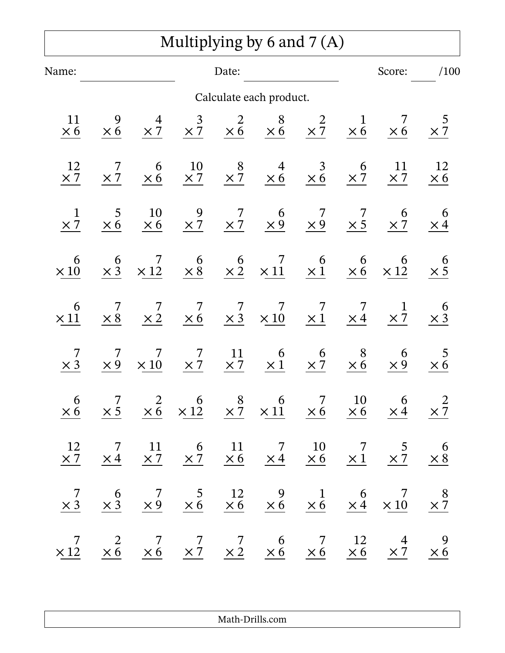|                  |                      |                                              |                              |                       | Multiplying by 6 and $7(A)$                                                                         |                      |                                              |                                                                                                                                                                                                                                                     |                      |
|------------------|----------------------|----------------------------------------------|------------------------------|-----------------------|-----------------------------------------------------------------------------------------------------|----------------------|----------------------------------------------|-----------------------------------------------------------------------------------------------------------------------------------------------------------------------------------------------------------------------------------------------------|----------------------|
| Name:            |                      |                                              |                              | Date:                 |                                                                                                     |                      |                                              | Score:                                                                                                                                                                                                                                              | /100                 |
|                  |                      |                                              |                              |                       | Calculate each product.                                                                             |                      |                                              |                                                                                                                                                                                                                                                     |                      |
| 11<br>$\times 6$ | $\times 6$           | $\frac{4}{\times 7}$                         | $\times \frac{3}{7}$         |                       | $\begin{array}{ccc} 2 & 8 & 2 \\ \times 6 & \times 6 & \times 7 \end{array}$                        |                      | $\frac{1}{\times 6}$                         | $\times 6$                                                                                                                                                                                                                                          | $\frac{5}{\times 7}$ |
| 12<br>$\times 7$ | $\frac{7}{2}$        | $\begin{array}{c} 6 \\ \times 6 \end{array}$ |                              |                       | $\begin{array}{cccccc}\n10 & 8 & 4 & 3 \\ \times 7 & \times 7 & \times 6 & \times 6\n\end{array}$   |                      | $\times \frac{6}{7}$                         | <sup>11</sup><br>$\times 7$                                                                                                                                                                                                                         | 12<br>$\times 6$     |
| $\times 7$       | 5<br>$\times 6$      | 10<br>$\times 6$                             |                              |                       | $\begin{array}{cccccc}\n 9 & 7 & 6 & 7 \\  \times 7 & \times 7 & \times 9 & \times 9\n \end{array}$ |                      | $\frac{7}{1}$                                | $\times \frac{6}{7}$                                                                                                                                                                                                                                | $\frac{6}{\times 4}$ |
| 6<br>$\times$ 10 | $\times \frac{6}{3}$ | $\frac{7}{\times 12}$                        | $\frac{6}{\times 8}$         |                       | $\begin{matrix} 6 & 7 \\ \times 2 & \times 11 \end{matrix}$                                         | $\frac{6}{\times 1}$ | $\times 6$                                   | $\times$ $\frac{6}{12}$                                                                                                                                                                                                                             | $rac{6}{\times 5}$   |
| 6<br>$\times$ 11 | $\times 8$           | $\frac{7}{\times 2}$                         | $\overline{7}$<br>$\times 6$ |                       | $\begin{array}{ccccc} & 7 & 7 & 7 \\ \times & 3 & \times & 10 & \times & 1 \end{array}$             |                      | $\frac{7}{\times 4}$                         | $\frac{1}{\times 7}$                                                                                                                                                                                                                                | $\frac{6}{\times 3}$ |
| $\times$ 3       | $\times 9$           | 7<br>$\times 10$                             | 7<br>$\times 7$              | $\frac{11}{\times 7}$ | $\frac{6}{\times 1}$                                                                                | $\frac{6}{\times 7}$ | $\begin{array}{c} 8 \\ \times 6 \end{array}$ | $6 \times 9$                                                                                                                                                                                                                                        | $\frac{5}{\times 6}$ |
|                  |                      |                                              |                              |                       |                                                                                                     |                      |                                              | $\begin{array}{ccccccccc} & 6 & & 7 & & 2 & & 6 & & 8 & & 6 & & 7 & & 10 & & 6 & & 2 \\ \times 6 & & \times 5 & & \times 6 & & \times 12 & & \times 7 & & \times 11 & & \times 6 & & \times 6 & & \times 4 & & \times 7 \\ \end{array}$             |                      |
|                  |                      |                                              |                              |                       |                                                                                                     |                      |                                              | $\begin{array}{ccccccccc} 12 & & 7 & & 11 & & 6 & & 11 & & 7 & & 10 & & 7 & & 5 & & 6 \\ \times 7 & & \times 4 & & \times 7 & & \times 7 & & \times 6 & & \times 4 & & \times 6 & & \times 1 & & \times 7 & & \times 8 \\ \end{array}$              |                      |
|                  |                      |                                              |                              |                       |                                                                                                     |                      |                                              | $\begin{array}{ccccccccc} & 7 & & 6 & & 7 & & 5 & & 12 & & 9 & & 1 & & 6 & & 7 & & 8 \\ \times 3 & & \times 3 & & \times 9 & & \times 6 & & \times 6 & & \times 6 & & \times 6 & & \times 6 & & \times 4 & & \times 10 & & \times 7 \\ \end{array}$ |                      |
|                  |                      |                                              |                              |                       |                                                                                                     |                      |                                              | $\begin{array}{ccccccccc} & 7 & & 2 & & 7 & & 7 & & 6 & & 7 & & 12 & & 4 & & 9 \\ \times 12 & & \times 6 & & \times 6 & & \times 7 & & \times 2 & & \times 6 & & \times 6 & & \times 6 & & \times 7 & & \times 6 \end{array}$                       |                      |

Math-Drills.com